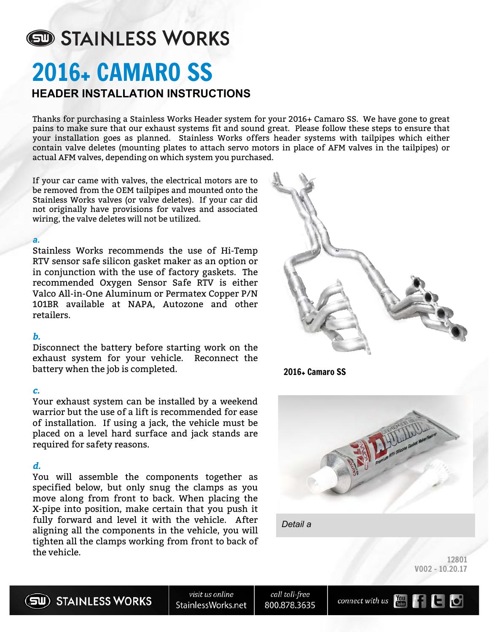# STAINLESS WORKS 2016+ CAMARO SS **HEADER INSTALLATION INSTRUCTIONS**

Thanks for purchasing a Stainless Works Header system for your 2016+ Camaro SS. We have gone to great pains to make sure that our exhaust systems fit and sound great. Please follow these steps to ensure that your installation goes as planned. Stainless Works offers header systems with tailpipes which either contain valve deletes (mounting plates to attach servo motors in place of AFM valves in the tailpipes) or actual AFM valves, depending on which system you purchased.

If your car came with valves, the electrical motors are to be removed from the OEM tailpipes and mounted onto the Stainless Works valves (or valve deletes). If your car did not originally have provisions for valves and associated wiring, the valve deletes will not be utilized.

#### *a.*

Stainless Works recommends the use of Hi-Temp RTV sensor safe silicon gasket maker as an option or in conjunction with the use of factory gaskets. The recommended Oxygen Sensor Safe RTV is either Valco All-in-One Aluminum or Permatex Copper P/N 101BR available at NAPA, Autozone and other retailers.

#### **b.**

Disconnect the battery before starting work on the exhaust system for your vehicle. Reconnect the battery when the job is completed.

#### **c.**

Your exhaust system can be installed by a weekend warrior but the use of a lift is recommended for ease of installation. If using a jack, the vehicle must be placed on a level hard surface and jack stands are required for safety reasons.

#### **d.**

You will assemble the components together as specified below, but only snug the clamps as you move along from front to back. When placing the X-pipe into position, make certain that you push it fully forward and level it with the vehicle. After aligning all the components in the vehicle, you will tighten all the clamps working from front to back of the vehicle.



2016+ Camaro SS





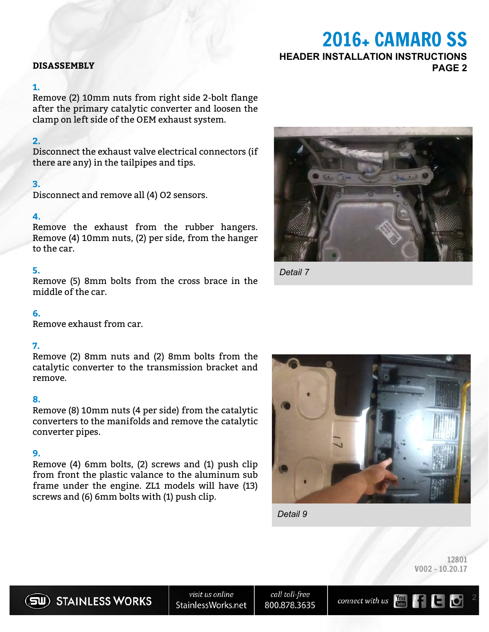### **DISASSEMBLY PAGE 2**

#### **1.**

Remove (2) 10mm nuts from right side 2-bolt flange after the primary catalytic converter and loosen the clamp on left side of the OEM exhaust system.

#### **2.**

Disconnect the exhaust valve electrical connectors (if there are any) in the tailpipes and tips.

#### **3.**

Disconnect and remove all (4) O2 sensors.

#### **4.**

Remove the exhaust from the rubber hangers. Remove (4) 10mm nuts, (2) per side, from the hanger to the car.

#### **5.**

Remove (5) 8mm bolts from the cross brace in the middle of the car.

#### **6.**

Remove exhaust from car.

#### **7.**

Remove (2) 8mm nuts and (2) 8mm bolts from the catalytic converter to the transmission bracket and remove.

#### **8.**

Remove (8) 10mm nuts (4 per side) from the catalytic converters to the manifolds and remove the catalytic converter pipes.

#### **9.**

Remove (4) 6mm bolts, (2) screws and (1) push clip from front the plastic valance to the aluminum sub frame under the engine. ZL1 models will have (13) screws and (6) 6mm bolts with (1) push clip.



2016+ CAMARO SS

**HEADER INSTALLATION INSTRUCTIONS**

*Detail 7*



*Detail 9*





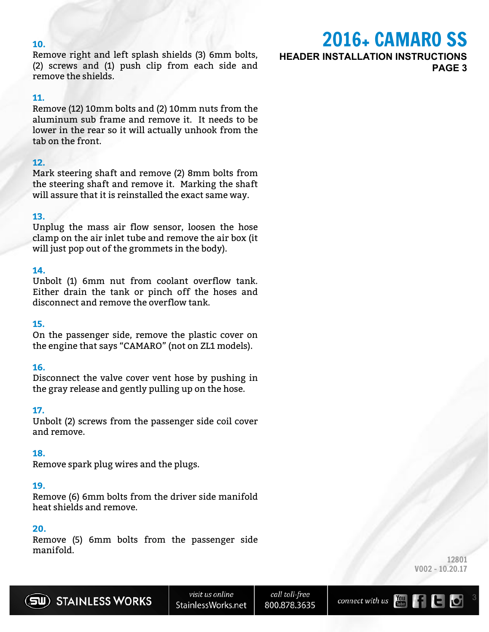#### **10.**

Remove right and left splash shields (3) 6mm bolts, (2) screws and (1) push clip from each side and remove the shields.

#### **11.**

Remove (12) 10mm bolts and (2) 10mm nuts from the aluminum sub frame and remove it. It needs to be lower in the rear so it will actually unhook from the tab on the front.

#### **12.**

Mark steering shaft and remove (2) 8mm bolts from the steering shaft and remove it. Marking the shaft will assure that it is reinstalled the exact same way.

#### **13.**

Unplug the mass air flow sensor, loosen the hose clamp on the air inlet tube and remove the air box (it will just pop out of the grommets in the body).

#### **14.**

Unbolt (1) 6mm nut from coolant overflow tank. Either drain the tank or pinch off the hoses and disconnect and remove the overflow tank.

#### **15.**

On the passenger side, remove the plastic cover on the engine that says "CAMARO" (not on ZL1 models).

#### **16.**

Disconnect the valve cover vent hose by pushing in the gray release and gently pulling up on the hose.

#### **17.**

Unbolt (2) screws from the passenger side coil cover and remove.

#### **18.**

Remove spark plug wires and the plugs.

#### **19.**

Remove (6) 6mm bolts from the driver side manifold heat shields and remove.

#### **20.**

Remove (5) 6mm bolts from the passenger side manifold.

**HEADER INSTALLATION INSTRUCTIONS**

2016+ CAMARO SS

**PAGE 3**





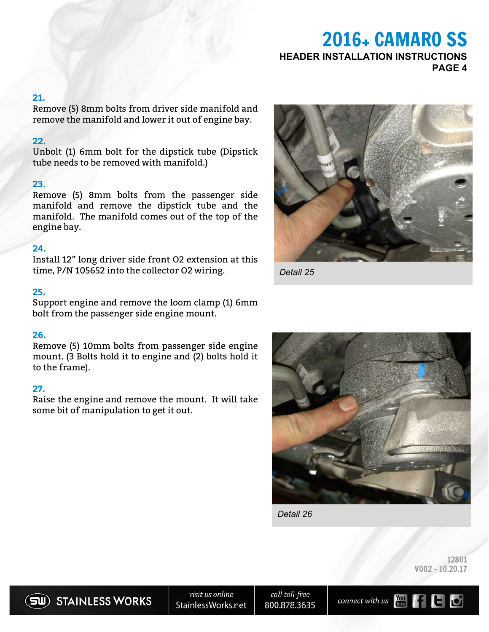# 2016+ CAMARO SS **HEADER INSTALLATION INSTRUCTIONS PAGE 4**

#### **21.**

Remove (5) 8mm bolts from driver side manifold and remove the manifold and lower it out of engine bay.

#### **22.**

Unbolt (1) 6mm bolt for the dipstick tube (Dipstick tube needs to be removed with manifold.)

#### **23.**

Remove (5) 8mm bolts from the passenger side manifold and remove the dipstick tube and the manifold. The manifold comes out of the top of the engine bay.

#### **24.**

Install 12" long driver side front O2 extension at this time, P/N 105652 into the collector O2 wiring.

#### **25.**

Support engine and remove the loom clamp (1) 6mm bolt from the passenger side engine mount.

#### **26.**

Remove (5) 10mm bolts from passenger side engine mount. (3 Bolts hold it to engine and (2) bolts hold it to the frame).

#### **27.**

Raise the engine and remove the mount. It will take some bit of manipulation to get it out.



*Detail 25*



*Detail 26*

12801 V002 - 10.20.17

SU) STAINLESS WORKS

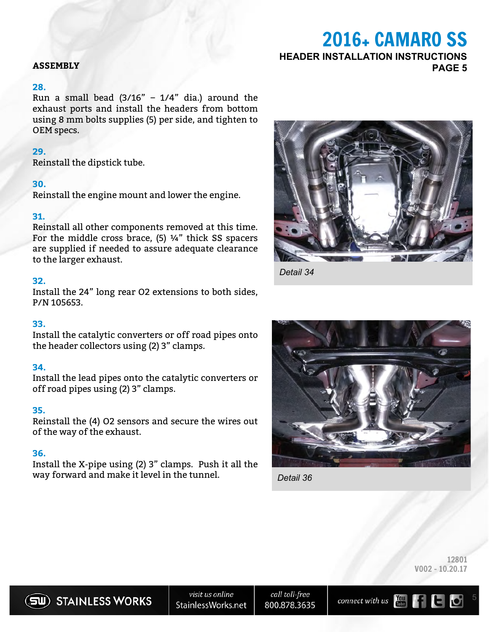### **ASSEMBLY PAGE 5**

#### **28.**

Run a small bead  $(3/16" - 1/4"$  dia.) around the exhaust ports and install the headers from bottom using 8 mm bolts supplies (5) per side, and tighten to OEM specs.

#### **29.**

Reinstall the dipstick tube.

#### **30.**

Reinstall the engine mount and lower the engine.

#### **31.**

Reinstall all other components removed at this time. For the middle cross brace,  $(5)$   $\frac{1}{4}$ " thick SS spacers are supplied if needed to assure adequate clearance to the larger exhaust.

#### **32.**

Install the 24" long rear O2 extensions to both sides, P/N 105653.

#### **33.**

Install the catalytic converters or off road pipes onto the header collectors using (2) 3" clamps.

#### **34.**

Install the lead pipes onto the catalytic converters or off road pipes using (2) 3" clamps.

#### **35.**

Reinstall the (4) O2 sensors and secure the wires out of the way of the exhaust.

#### **36.**

Install the X-pipe using (2) 3" clamps. Push it all the way forward and make it level in the tunnel.



2016+ CAMARO SS

**HEADER INSTALLATION INSTRUCTIONS**

*Detail 34*



*Detail 36*

12801 V002 - 10.20.17



call toll-free 800.878.3635

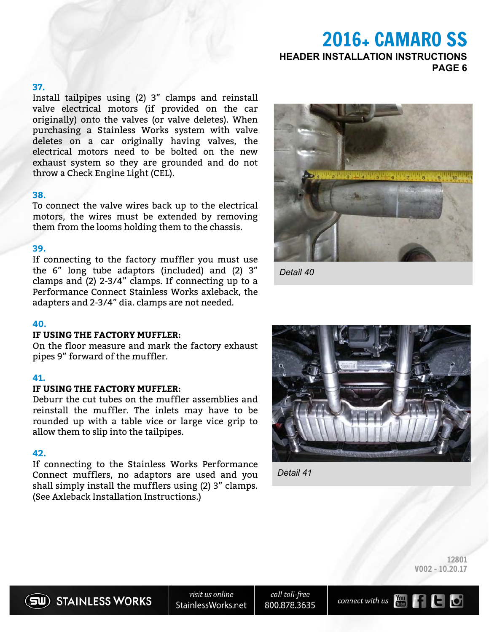# 2016+ CAMARO SS **HEADER INSTALLATION INSTRUCTIONS PAGE 6**

#### **37.**

Install tailpipes using (2) 3" clamps and reinstall valve electrical motors (if provided on the car originally) onto the valves (or valve deletes). When purchasing a Stainless Works system with valve deletes on a car originally having valves, the electrical motors need to be bolted on the new exhaust system so they are grounded and do not throw a Check Engine Light (CEL).

#### **38.**

To connect the valve wires back up to the electrical motors, the wires must be extended by removing them from the looms holding them to the chassis.

#### **39.**

If connecting to the factory muffler you must use the 6" long tube adaptors (included) and (2) 3" clamps and (2) 2-3/4" clamps. If connecting up to a Performance Connect Stainless Works axleback, the adapters and 2-3/4" dia. clamps are not needed.

#### **40.**

#### **IF USING THE FACTORY MUFFLER:**

On the floor measure and mark the factory exhaust pipes 9" forward of the muffler.

#### **41.**

#### **IF USING THE FACTORY MUFFLER:**

Deburr the cut tubes on the muffler assemblies and reinstall the muffler. The inlets may have to be rounded up with a table vice or large vice grip to allow them to slip into the tailpipes.

#### **42.**

If connecting to the Stainless Works Performance Connect mufflers, no adaptors are used and you shall simply install the mufflers using (2) 3" clamps. (See Axleback Installation Instructions.)



*Detail 40*



*Detail 41*

12801 V002 - 10.20.17



call toll-free 800.878.3635